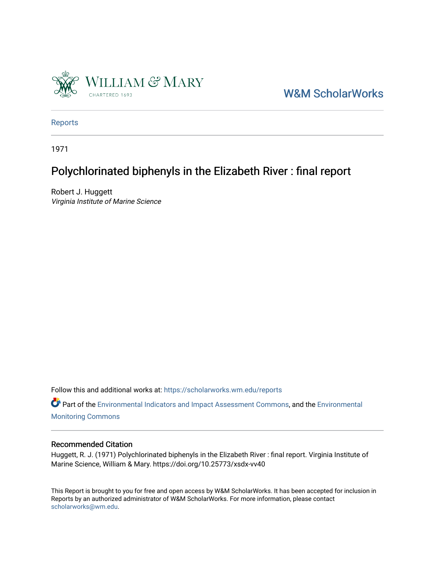

[W&M ScholarWorks](https://scholarworks.wm.edu/) 

[Reports](https://scholarworks.wm.edu/reports)

1971

# Polychlorinated biphenyls in the Elizabeth River : final report

Robert J. Huggett Virginia Institute of Marine Science

Follow this and additional works at: [https://scholarworks.wm.edu/reports](https://scholarworks.wm.edu/reports?utm_source=scholarworks.wm.edu%2Freports%2F2518&utm_medium=PDF&utm_campaign=PDFCoverPages)

Part of the [Environmental Indicators and Impact Assessment Commons,](http://network.bepress.com/hgg/discipline/1015?utm_source=scholarworks.wm.edu%2Freports%2F2518&utm_medium=PDF&utm_campaign=PDFCoverPages) and the [Environmental](http://network.bepress.com/hgg/discipline/931?utm_source=scholarworks.wm.edu%2Freports%2F2518&utm_medium=PDF&utm_campaign=PDFCoverPages) [Monitoring Commons](http://network.bepress.com/hgg/discipline/931?utm_source=scholarworks.wm.edu%2Freports%2F2518&utm_medium=PDF&utm_campaign=PDFCoverPages) 

## Recommended Citation

Huggett, R. J. (1971) Polychlorinated biphenyls in the Elizabeth River : final report. Virginia Institute of Marine Science, William & Mary. https://doi.org/10.25773/xsdx-vv40

This Report is brought to you for free and open access by W&M ScholarWorks. It has been accepted for inclusion in Reports by an authorized administrator of W&M ScholarWorks. For more information, please contact [scholarworks@wm.edu.](mailto:scholarworks@wm.edu)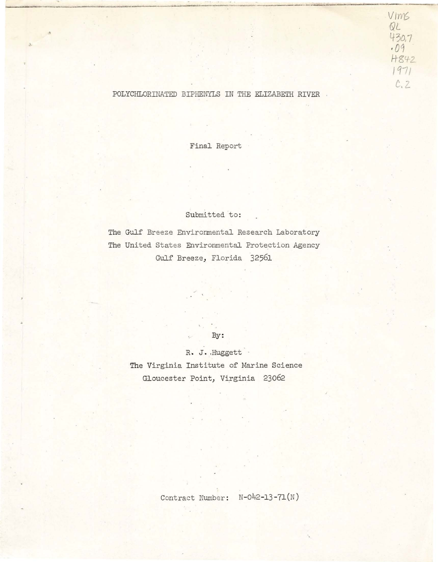# 430.7 *·01*  H842 1971 *C.l*

*Vin'6*   $QL$ 

. This is a positive distinct discusse of the space of the second contribution  $\mathcal{L}$  , and  $\mathcal{L}$ 

### POLYCHLORINATED BIPHENYLS IN THE ELIZABETH RIVER

Final Report

## Submitted to:

The Gulf Breeze Environmental Research Laboratory The United States Environmental Protection Agency Gulf Breeze, Florida 32561

By:

R, J. ,Huggett

The Virginia Institute of Marine Science Gloucester Point, Virginia 23062

Contract Number: N-042-13-71(N)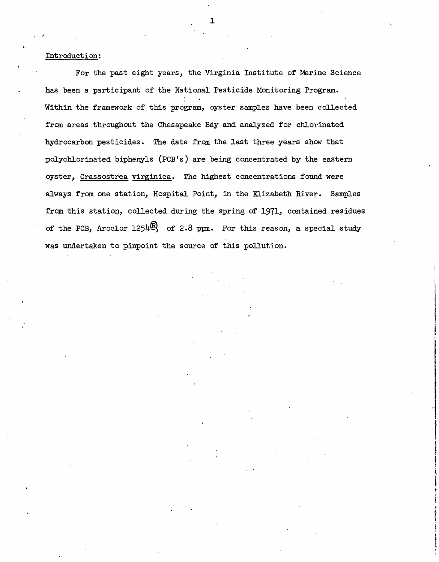#### Introduction:

For the past eight years, the Virginia Institute of Marine Science has been a participant of the National Pesticide Monitoring Program. Within the framework of this program, oyster samples have been collected from areas throughout the Chesapeake Bay and analyzed for chlorinated hydrocarbon pesticides. The data from the last three years show that polycbJ.orinated biphenyls (PCB's) are being concentrated by the eastern oyster, Crassostrea virginica. The highest concentrations found were always from one station, Hospital Point, in the Elizabeth River. Samples from this station, collected during the spring of 1971, contained residues of the PCB, Aroclor  $1254\%$ , of 2.8 ppm. For this reason, a special study was undertaken to pinpoint the source of this pollution.

in the components of the contract of the contract of the contract of the contract of the contract of the contract of the contract of the contract of the contract of the contract of the contract of the contract of the contr

**International Property** 

t t s r

f and the local division is  $\mathbf{I}$ r ! f f I

1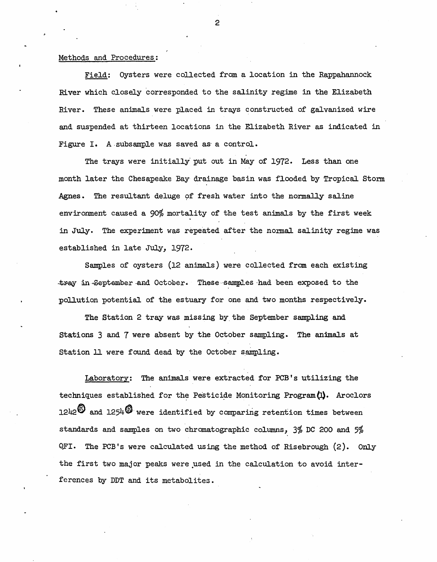#### Methods and Procedures:

Field: Oysters were collected from a location in the Rappahannock River which closely corresponded to the salinity regime in the Elizabeth River. These animals were placed in trays constructed of galvanized wire and suspended at thirteen locations in the Elizabeth River as indicated in Figure I. A subsample was saved as a control.

The trays were initially put out in May of 1972. Less than one month later the Chesapeake Bay· drainage basin was flooded by Tropical Storm Agnes. The resultant deluge of fresh water into the normally saline environment caused a 90% mortality of the test animals by the first week in July. The experiment was repeated after the normal salinity regime was established in late July, 1972.

Samples of oysters (12 animals) were collected from each existing tray in September and October. These samples had been exposed to the pollution potential of the estuary for one and two months respectively.

The Station 2 tray was missing by the September sampling and Stations 3 and 7 were absent by the October sampling. The animals at Station 11 were found dead by the October sampling.

Laboratory: The animals were extracted for PCB's utilizing the techniques established for the Pesticide Monitoring Program $(1)$ . Aroclors  $1242<sup>o</sup>$  and  $1254<sup>o</sup>$  were identified by comparing retention times between standards and samples on two chromatographic columns, 3% DC 200 and 5%  $QFI.$  The PCB's were calculated using the method of Risebrough  $(2).$  Only the first two major peaks were used in the calculation to avoid interferences by DDT and its metabolites.

2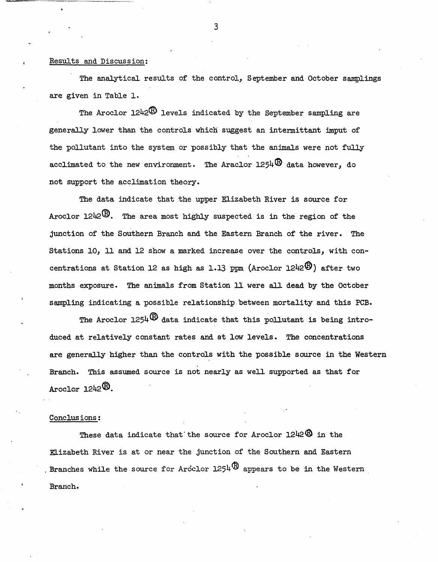#### Results and Discussion:

The analytical results of the control, September and October samplings are given in Table 1.

The Aroclor  $1242\overline{\mathfrak{B}}$  levels indicated by the September sampling are generaJ.ly lower than the controls whicn suggest an intermittant imput of the pollutant into the system or possibly that the animals were not fully acclimated to the new environment. The Araclor  $1254\overline{B}$  data however, do not support the acclimation theory.

The data indicate that the upper Elizabeth River is source for Aroclor  $1242^{(1)}$ . The area most highly suspected is in the region of the junction of the Southern Branch and the Eastern Branch of the river. The Stations 10, 11 and 12 show a marked increase over the controls, with concentrations at Station 12 as high as 1.13 ppm (Aroclor 1242 $\mathbb{B}$ ) after two months exposure. The animals from Station 11 were all dead by the October sampling indicating a possible relationship between mortality and this PCB.

The Aroclor  $1254 \overline{\mathcal{D}}$  data indicate that this pollutant is being introduced at relatively constant rates and at low levels. The concentrations are generally higher than the controls with the possible source in the Western Branch. This assumed source is not nearly as well supported as that for Aroclor 1242®.

#### Conclusions:

These data indicate that the source for Aroclor  $1242\overline{\mathbb{O}}$  in the KI.izabeth River is at or near the junction of the Southern and Eastern Branches while the source for Arcclor  $1254\overline{B}$  appears to be in the Western Branch.

3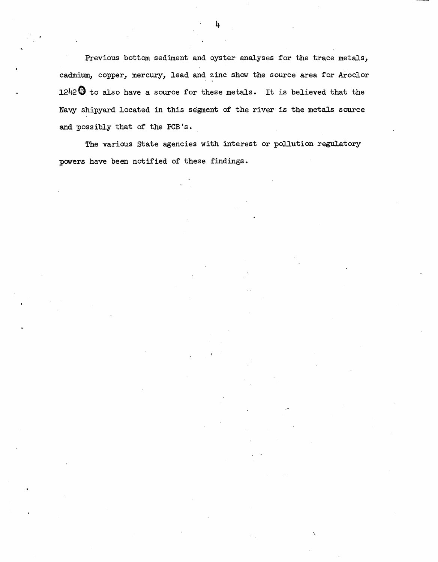Previous bottom sediment and oyster analyses for the trace metals, cadmium, copper, mercury, lead and zinc show the source area for Aroclor  $1242\bigoplus$  to also have a source for these metals. It is believed that the Navy shipyard located in this segment of the river is the metals source and possibly that of the PCB's.

The various State agencies with interest or pollution regulatory powers have been notified of these findings.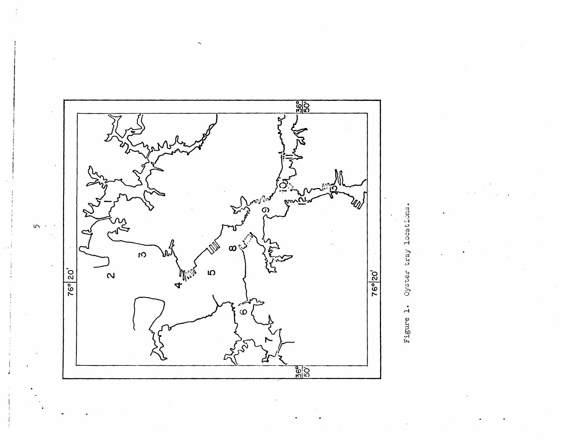

Oyster Figure 1.

 $I\cap$  .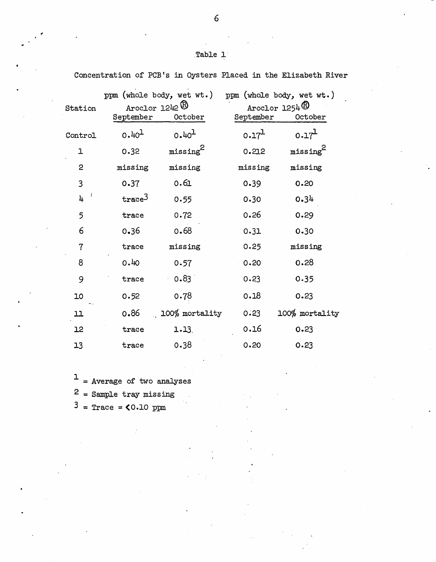| Station        | ppm (whole body, wet wt.)<br>Aroclor $1242 \, \circledB$<br>September<br>October |                      | ppm (whole body, wet wt.)<br>Aroclor $1254$ <sup>®</sup><br>September<br>October |                      |
|----------------|----------------------------------------------------------------------------------|----------------------|----------------------------------------------------------------------------------|----------------------|
| Control        | 0.40 <sup>1</sup>                                                                | $0.40^{1}$           | 0.17 <sup>1</sup>                                                                | 0.17 <sup>L</sup>    |
| ı              | 0.32                                                                             | missing <sup>2</sup> | 0.212                                                                            | missing <sup>2</sup> |
| $\overline{c}$ | missing                                                                          | missing              | missing                                                                          | missing              |
| 3              | 0.37                                                                             | 0.61                 | 0.39                                                                             | 0.20                 |
| 4              | trace <sup>3</sup>                                                               | 0.55                 | 0.30                                                                             | 0.34                 |
| 5              | trace                                                                            | 0.72                 | 0.26                                                                             | 0.29                 |
| 6              | 0.36                                                                             | 0.68                 | 0.31                                                                             | 0.30                 |
| 7              | trace                                                                            | missing              | 0.25                                                                             | missing              |
| 8              | 0.40                                                                             | 0.57                 | 0.20                                                                             | 0.28                 |
| 9              | trace                                                                            | 0.83                 | 0.23                                                                             | 0.35                 |
| 10             | 0.52                                                                             | 0.78                 | 0.18                                                                             | 0.23                 |
| 11             | 0.86                                                                             | 100% mortality       | 0.23                                                                             | 100% mortality       |
| 12             | trace                                                                            | $1.13$ .             | 0.16                                                                             | 0.23                 |
| 13             | trace                                                                            | 0.38                 | 0.20                                                                             | 0.23                 |

Concentration of PCB's in Oysters Placed in the Elizabeth River

 $1$  = Average of two analyses

2 = Sample tray missing

 $3$  = Trace =  $0.10$  ppm

6

# .Table 1·